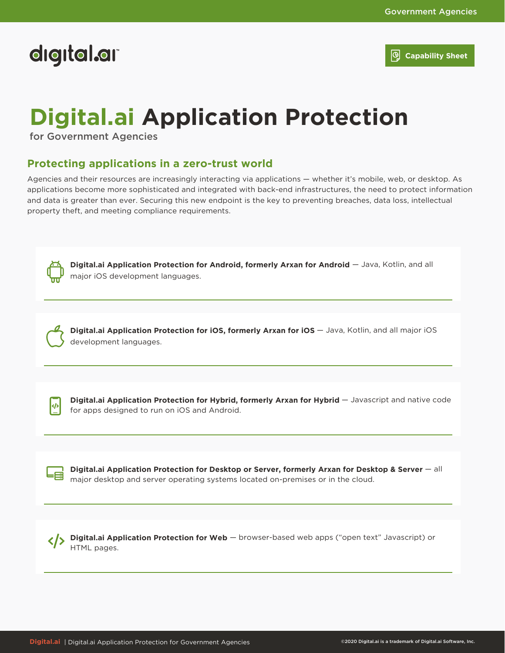# digital.ar

**Capability Sheet**

# **Digital.ai Application Protection**

for Government Agencies

### **Protecting applications in a zero-trust world**

Agencies and their resources are increasingly interacting via applications — whether it's mobile, web, or desktop. As applications become more sophisticated and integrated with back-end infrastructures, the need to protect information and data is greater than ever. Securing this new endpoint is the key to preventing breaches, data loss, intellectual property theft, and meeting compliance requirements.



major iOS development languages. — Java, Kotlin, and all **Digital.ai Application Protection for Android, formerly Arxan for Android**



 $\leftrightarrow$ 

development languages. **Digital.ai Application Protection for iOS, formerly Arxan for iOS**  $-$  **Java, Kotlin, and all major iOS** 

for apps designed to run on iOS and Android. **Digital.ai Application Protection for Hybrid, formerly Arxan for Hybrid - Javascript and native code** 

major desktop and server operating systems located on-premises or in the cloud. — all **Digital.ai Application Protection for Desktop or Server, formerly Arxan for Desktop & Server**

HTML pages. **Digital.ai Application Protection for Web**  $-$  browser-based web apps ("open text" Javascript) or